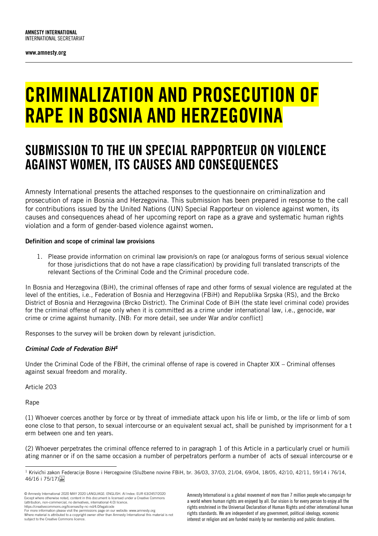www.amnesty.org

# CRIMINALIZATION AND PROSECUTION OF RAPE IN BOSNIA AND HERZEGOVINA

# SUBMISSION TO THE UN SPECIAL RAPPORTEUR ON VIOLENCE AGAINST WOMEN, ITS CAUSES AND CONSEQUENCES

Amnesty International presents the attached responses to the questionnaire on criminalization and prosecution of rape in Bosnia and Herzegovina. This submission has been prepared in response to the call for contributions issued by the United Nations (UN) Special Rapporteur on violence against women, its causes and consequences ahead of her upcoming report on rape as a grave and systematic human rights violation and a form of gender-based violence against women.

#### Definition and scope of criminal law provisions

1. Please provide information on criminal law provision/s on rape (or analogous forms of serious sexual violence for those jurisdictions that do not have a rape classification) by providing full translated transcripts of the relevant Sections of the Criminal Code and the Criminal procedure code.

In Bosnia and Herzegovina (BiH), the criminal offenses of rape and other forms of sexual violence are regulated at the level of the entities, i.e., Federation of Bosnia and Herzegovina (FBiH) and Republika Srpska (RS), and the Brcko District of Bosnia and Herzegovina (Brcko District). The Criminal Code of BiH (the state level criminal code) provides for the criminal offense of rape only when it is committed as a crime under international law, i.e., genocide, war crime or crime against humanity. [NB: For more detail, see under War and/or conflict]

Responses to the survey will be broken down by relevant jurisdiction.

# *Criminal Code of Federation BiH<sup>1</sup>*

Under the Criminal Code of the FBiH, the criminal offense of rape is covered in Chapter XIX – Criminal offenses against sexual freedom and morality.

Article 203

Rape

(1) Whoever coerces another by force or by threat of immediate attack upon his life or limb, or the life or limb of som eone close to that person, to sexual intercourse or an equivalent sexual act, shall be punished by imprisonment for a t erm between one and ten years.

(2) Whoever perpetrates the criminal offence referred to in paragraph 1 of this Article in a particularly cruel or humili ating manner or if on the same occasion a number of perpetrators perform a number of acts of sexual intercourse or e

© Amnesty International 2020 MAY 2020 LANGUAGE: ENGLISH. AI Index: EUR 63/2457/2020 Except where otherwise noted, content in this document is licensed under a Creative Commons (attribution, non-commercial, no derivatives, international 4.0) licence. https://creativecommons.org/licenses/by-nc-nd/4.0/legalcode

For more information please visit the permissions page on our website: www.amnesty.org

Amnesty International is a global movement of more than 7 million people who campaign for a world where human rights are enjoyed by all. Our vision is for every person to enjoy all the rights enshrined in the Universal Declaration of Human Rights and other international human rights standards. We are independent of any government, political ideology, economic interest or religion and are funded mainly by our membership and public donations.

<sup>-</sup> $1$  Krivichi zakon Federacije Bosne i Hercegovine (Službene novine FBiH, br. 36/03, 37/03, 21/04, 69/04, 18/05, 42/10, 42/11, 59/14 i 76/14, 46/16 i 75/17).

Where material is attributed to a copyright owner other than Amnesty International this material is not subject to the Creative Commons licence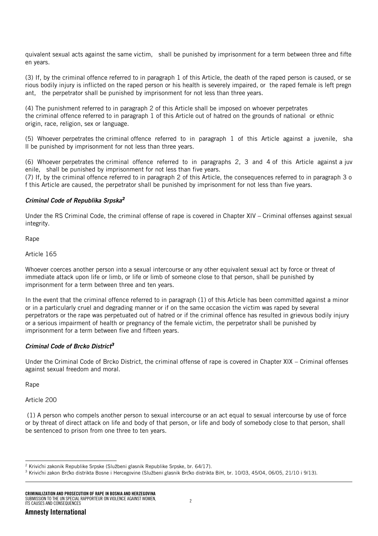quivalent sexual acts against the same victim, shall be punished by imprisonment for a term between three and fifte en years.

(3) If, by the criminal offence referred to in paragraph 1 of this Article, the death of the raped person is caused, or se rious bodily injury is inflicted on the raped person or his health is severely impaired, or the raped female is left pregn ant, the perpetrator shall be punished by imprisonment for not less than three years.

(4) The punishment referred to in paragraph 2 of this Article shall be imposed on whoever perpetrates the criminal offence referred to in paragraph 1 of this Article out of hatred on the grounds of national or ethnic origin, race, religion, sex or language.

(5) Whoever perpetrates the criminal offence referred to in paragraph 1 of this Article against a juvenile, sha ll be punished by imprisonment for not less than three years.

(6) Whoever perpetrates the criminal offence referred to in paragraphs 2, 3 and 4 of this Article against a juv enile, shall be punished by imprisonment for not less than five years.

(7) If, by the criminal offence referred to in paragraph 2 of this Article, the consequences referred to in paragraph 3 o f this Article are caused, the perpetrator shall be punished by imprisonment for not less than five years.

#### *Criminal Code of Republika Srpska<sup>2</sup>*

Under the RS Criminal Code, the criminal offense of rape is covered in Chapter XIV – Criminal offenses against sexual integrity.

Rape

Article 165

Whoever coerces another person into a sexual intercourse or any other equivalent sexual act by force or threat of immediate attack upon life or limb, or life or limb of someone close to that person, shall be punished by imprisonment for a term between three and ten years.

In the event that the criminal offence referred to in paragraph (1) of this Article has been committed against a minor or in a particularly cruel and degrading manner or if on the same occasion the victim was raped by several perpetrators or the rape was perpetuated out of hatred or if the criminal offence has resulted in grievous bodily injury or a serious impairment of health or pregnancy of the female victim, the perpetrator shall be punished by imprisonment for a term between five and fifteen years.

#### *Criminal Code of Brcko District<sup>3</sup>*

Under the Criminal Code of Brcko District, the criminal offense of rape is covered in Chapter XIX – Criminal offenses against sexual freedom and moral.

Rape

Article 200

(1) A person who compels another person to sexual intercourse or an act equal to sexual intercourse by use of force or by threat of direct attack on life and body of that person, or life and body of somebody close to that person, shall be sentenced to prison from one three to ten years.

<sup>-</sup> $2$  Krivichi zakonik Republike Srpske (Službeni glasnik Republike Srpske, br. 64/17).

<sup>&</sup>lt;sup>3</sup> Krivicňi zakon Brcko distrikta Bosne i Hercegovine (Službeni glasnik Brcko distrikta BiH, br. 10/03, 45/04, 06/05, 21/10 i 9/13).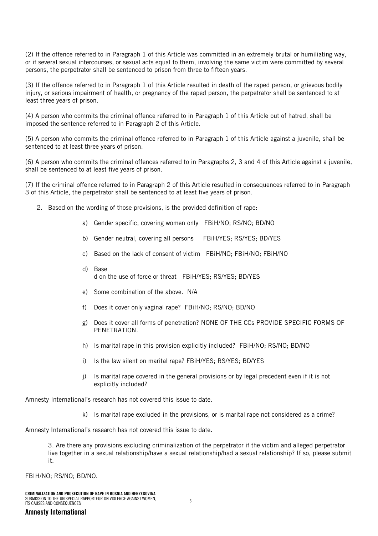(2) If the offence referred to in Paragraph 1 of this Article was committed in an extremely brutal or humiliating way, or if several sexual intercourses, or sexual acts equal to them, involving the same victim were committed by several persons, the perpetrator shall be sentenced to prison from three to fifteen years.

(3) If the offence referred to in Paragraph 1 of this Article resulted in death of the raped person, or grievous bodily injury, or serious impairment of health, or pregnancy of the raped person, the perpetrator shall be sentenced to at least three years of prison.

(4) A person who commits the criminal offence referred to in Paragraph 1 of this Article out of hatred, shall be imposed the sentence referred to in Paragraph 2 of this Article.

(5) A person who commits the criminal offence referred to in Paragraph 1 of this Article against a juvenile, shall be sentenced to at least three years of prison.

(6) A person who commits the criminal offences referred to in Paragraphs 2, 3 and 4 of this Article against a juvenile, shall be sentenced to at least five years of prison.

(7) If the criminal offence referred to in Paragraph 2 of this Article resulted in consequences referred to in Paragraph 3 of this Article, the perpetrator shall be sentenced to at least five years of prison.

- 2. Based on the wording of those provisions, is the provided definition of rape:
	- a) Gender specific, covering women only FBiH/NO; RS/NO; BD/NO
	- b) Gender neutral, covering all persons FBiH/YES; RS/YES; BD/YES
	- c) Based on the lack of consent of victim FBiH/NO; FBiH/NO; FBiH/NO
	- d) Base d on the use of force or threat FBiH/YES; RS/YES; BD/YES
	- e) Some combination of the above. N/A
	- f) Does it cover only vaginal rape? FBiH/NO; RS/NO; BD/NO
	- g) Does it cover all forms of penetration? NONE OF THE CCs PROVIDE SPECIFIC FORMS OF PENETRATION.
	- h) Is marital rape in this provision explicitly included? FBiH/NO; RS/NO; BD/NO
	- i) Is the law silent on marital rape? FBiH/YES; RS/YES; BD/YES
	- j) Is marital rape covered in the general provisions or by legal precedent even if it is not explicitly included?

Amnesty International's research has not covered this issue to date.

k) Is marital rape excluded in the provisions, or is marital rape not considered as a crime?

Amnesty International's research has not covered this issue to date.

3. Are there any provisions excluding criminalization of the perpetrator if the victim and alleged perpetrator live together in a sexual relationship/have a sexual relationship/had a sexual relationship? If so, please submit it.

FBIH/NO; RS/NO; BD/NO.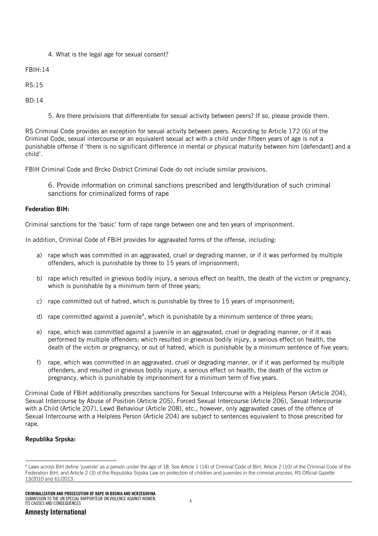4. What is the legal age for sexual consent?

FBIH:14

RS:15

BD:14

5. Are there provisions that differentiate for sexual activity between peers? If so, please provide them.

RS Criminal Code provides an exception for sexual activity between peers. According to Article 172 (6) of the Criminal Code, sexual intercourse or an equivalent sexual act with a child under fifteen years of age is not a punishable offense if 'there is no significant difference in mental or physical maturity between him [defendant] and a child'.

FBIH Criminal Code and Brcko District Criminal Code do not include similar provisions.

6. Provide information on criminal sanctions prescribed and length/duration of such criminal sanctions for criminalized forms of rape

# Federation BIH:

Criminal sanctions for the 'basic' form of rape range between one and ten years of imprisonment.

In addition, Criminal Code of FBiH provides for aggravated forms of the offense, including:

- a) rape which was committed in an aggravated, cruel or degrading manner, or if it was performed by multiple offenders, which is punishable by three to 15 years of imprisonment;
- b) rape which resulted in grievous bodily injury, a serious effect on health, the death of the victim or pregnancy, which is punishable by a minimum term of three years;
- c) rape committed out of hatred, which is punishable by three to 15 years of imprisonment;
- d) rape committed against a juvenile<sup>4</sup>, which is punishable by a minimum sentence of three years;
- e) rape, which was committed against a juvenile in an aggravated, cruel or degrading manner, or if it was performed by multiple offenders; which resulted in grievous bodily injury, a serious effect on health, the death of the victim or pregnancy; or out of hatred, which is punishable by a minimum sentence of five years;
- f) rape, which was committed in an aggravated, cruel or degrading manner, or if it was performed by multiple offenders, and resulted in grievous bodily injury, a serious effect on health, the death of the victim or pregnancy, which is punishable by imprisonment for a minimum term of five years.

Criminal Code of FBiH additionally prescribes sanctions for Sexual Intercourse with a Helpless Person (Article 204), Sexual Intercourse by Abuse of Position (Article 205), Forced Sexual Intercourse (Article 206), Sexual Intercourse with a Child (Article 207), Lewd Behaviour (Article 208), etc., however, only aggravated cases of the offence of Sexual Intercourse with a Helpless Person (Article 204) are subject to sentences equivalent to those prescribed for rape.

# Republika Srpska:

<sup>-</sup><sup>4</sup> Laws across BiH define 'juvenile' as a person under the age of 18. See Article 1 (14) of Criminal Code of BiH, Article 2 (10) of the Criminal Code of the Federation BiH, and Article 2 (3) of the Republika Srpska Law on protection of children and juveniles in the criminal process, RS Official Gazette 13/2010 and 61/2013.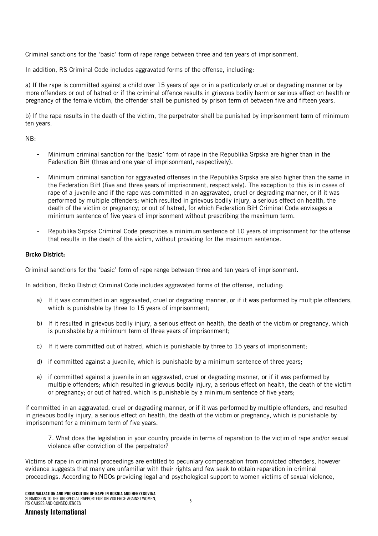Criminal sanctions for the 'basic' form of rape range between three and ten years of imprisonment.

In addition, RS Criminal Code includes aggravated forms of the offense, including:

a) If the rape is committed against a child over 15 years of age or in a particularly cruel or degrading manner or by more offenders or out of hatred or if the criminal offence results in grievous bodily harm or serious effect on health or pregnancy of the female victim, the offender shall be punished by prison term of between five and fifteen years.

b) If the rape results in the death of the victim, the perpetrator shall be punished by imprisonment term of minimum ten years.

NB:

- Minimum criminal sanction for the 'basic' form of rape in the Republika Srpska are higher than in the Federation BiH (three and one year of imprisonment, respectively).
- Minimum criminal sanction for aggravated offenses in the Republika Srpska are also higher than the same in the Federation BiH (five and three years of imprisonment, respectively). The exception to this is in cases of rape of a juvenile and if the rape was committed in an aggravated, cruel or degrading manner, or if it was performed by multiple offenders; which resulted in grievous bodily injury, a serious effect on health, the death of the victim or pregnancy; or out of hatred, for which Federation BiH Criminal Code envisages a minimum sentence of five years of imprisonment without prescribing the maximum term.
- Republika Srpska Criminal Code prescribes a minimum sentence of 10 years of imprisonment for the offense that results in the death of the victim, without providing for the maximum sentence.

# Brcko District:

Criminal sanctions for the 'basic' form of rape range between three and ten years of imprisonment.

In addition, Brcko District Criminal Code includes aggravated forms of the offense, including:

- a) If it was committed in an aggravated, cruel or degrading manner, or if it was performed by multiple offenders, which is punishable by three to 15 years of imprisonment;
- b) If it resulted in grievous bodily injury, a serious effect on health, the death of the victim or pregnancy, which is punishable by a minimum term of three years of imprisonment;
- c) If it were committed out of hatred, which is punishable by three to 15 years of imprisonment;
- d) if committed against a juvenile, which is punishable by a minimum sentence of three years;
- e) if committed against a juvenile in an aggravated, cruel or degrading manner, or if it was performed by multiple offenders; which resulted in grievous bodily injury, a serious effect on health, the death of the victim or pregnancy; or out of hatred, which is punishable by a minimum sentence of five years;

if committed in an aggravated, cruel or degrading manner, or if it was performed by multiple offenders, and resulted in grievous bodily injury, a serious effect on health, the death of the victim or pregnancy, which is punishable by imprisonment for a minimum term of five years.

7. What does the legislation in your country provide in terms of reparation to the victim of rape and/or sexual violence after conviction of the perpetrator?

Victims of rape in criminal proceedings are entitled to pecuniary compensation from convicted offenders, however evidence suggests that many are unfamiliar with their rights and few seek to obtain reparation in criminal proceedings. According to NGOs providing legal and psychological support to women victims of sexual violence,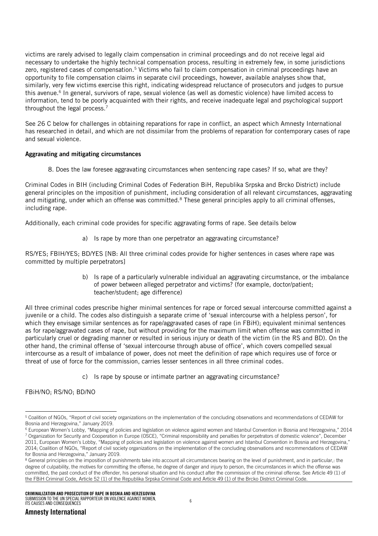victims are rarely advised to legally claim compensation in criminal proceedings and do not receive legal aid necessary to undertake the highly technical compensation process, resulting in extremely few, in some jurisdictions zero, registered cases of compensation.<sup>5</sup> Victims who fail to claim compensation in criminal proceedings have an opportunity to file compensation claims in separate civil proceedings, however, available analyses show that, similarly, very few victims exercise this right, indicating widespread reluctance of prosecutors and judges to pursue this avenue.<sup>6</sup> In general, survivors of rape, sexual violence (as well as domestic violence) have limited access to information, tend to be poorly acquainted with their rights, and receive inadequate legal and psychological support throughout the legal process.<sup>7</sup>

See 26 C below for challenges in obtaining reparations for rape in conflict, an aspect which Amnesty International has researched in detail, and which are not dissimilar from the problems of reparation for contemporary cases of rape and sexual violence.

# Aggravating and mitigating circumstances

8. Does the law foresee aggravating circumstances when sentencing rape cases? If so, what are they?

Criminal Codes in BIH (including Criminal Codes of Federation BiH, Republika Srpska and Brcko District) include general principles on the imposition of punishment, including consideration of all relevant circumstances, aggravating and mitigating, under which an offense was committed.<sup>8</sup> These general principles apply to all criminal offenses, including rape.

Additionally, each criminal code provides for specific aggravating forms of rape. See details below

a) Is rape by more than one perpetrator an aggravating circumstance?

RS/YES; FBIH/YES; BD/YES [NB: All three criminal codes provide for higher sentences in cases where rape was committed by multiple perpetrators]

> b) Is rape of a particularly vulnerable individual an aggravating circumstance, or the imbalance of power between alleged perpetrator and victims? (for example, doctor/patient; teacher/student; age difference)

All three criminal codes prescribe higher minimal sentences for rape or forced sexual intercourse committed against a juvenile or a child. The codes also distinguish a separate crime of 'sexual intercourse with a helpless person', for which they envisage similar sentences as for rape/aggravated cases of rape (in FBiH); equivalent minimal sentences as for rape/aggravated cases of rape, but without providing for the maximum limit when offense was committed in particularly cruel or degrading manner or resulted in serious injury or death of the victim (in the RS and BD). On the other hand, the criminal offense of 'sexual intercourse through abuse of office', which covers compelled sexual intercourse as a result of imbalance of power, does not meet the definition of rape which requires use of force or threat of use of force for the commission, carries lesser sentences in all three criminal codes.

c) Is rape by spouse or intimate partner an aggravating circumstance?

FBiH/NO; RS/NO; BD/NO

<sup>-</sup><sup>5</sup> Coalition of NGOs, "Report of civil society organizations on the implementation of the concluding observations and recommendations of CEDAW for Bosnia and Herzegovina," January 2019.

<sup>&</sup>lt;sup>6</sup> European Women's Lobby, "Mapping of policies and legislation on violence against women and Istanbul Convention in Bosnia and Herzegovina," 2014 <sup>7</sup> Organization for Security and Cooperation in Europe (OSCE), "Criminal responsibility and penalties for perpetrators of domestic violence", December 2011, European Women's Lobby, "Mapping of policies and legislation on violence against women and Istanbul Convention in Bosnia and Herzegovina," 2014; Coalition of NGOs, "Report of civil society organizations on the implementation of the concluding observations and recommendations of CEDAW for Bosnia and Herzegovina," January 2019.

<sup>&</sup>lt;sup>8</sup> General principles on the imposition of punishments take into account all circumstances bearing on the level of punishment, and in particular,: the degree of culpability, the motives for committing the offense, he degree of danger and injury to person, the circumstances in which the offense was committed, the past conduct of the offender, his personal situation and his conduct after the commission of the criminal offense. See Article 49 (1) of the FBiH Criminal Code, Article 52 (1) of the Republika Srpska Criminal Code and Article 49 (1) of the Brcko District Criminal Code.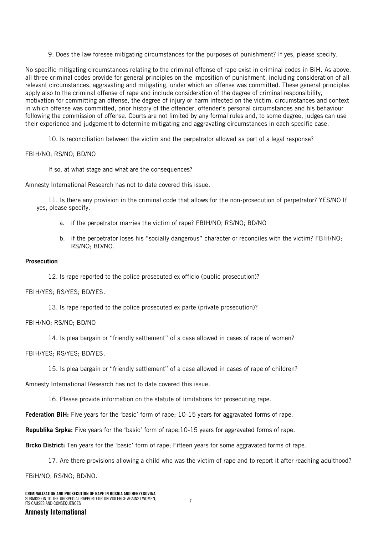9. Does the law foresee mitigating circumstances for the purposes of punishment? If yes, please specify.

No specific mitigating circumstances relating to the criminal offense of rape exist in criminal codes in BiH. As above, all three criminal codes provide for general principles on the imposition of punishment, including consideration of all relevant circumstances, aggravating and mitigating, under which an offense was committed. These general principles apply also to the criminal offense of rape and include consideration of the degree of criminal responsibility, motivation for committing an offense, the degree of injury or harm infected on the victim, circumstances and context in which offense was committed, prior history of the offender, offender's personal circumstances and his behaviour following the commission of offense. Courts are not limited by any formal rules and, to some degree, judges can use their experience and judgement to determine mitigating and aggravating circumstances in each specific case.

10. Is reconciliation between the victim and the perpetrator allowed as part of a legal response?

FBIH/NO; RS/NO; BD/NO

If so, at what stage and what are the consequences?

Amnesty International Research has not to date covered this issue.

11. Is there any provision in the criminal code that allows for the non-prosecution of perpetrator? YES/NO If yes, please specify.

- a. if the perpetrator marries the victim of rape? FBIH/NO; RS/NO; BD/NO
- b. if the perpetrator loses his "socially dangerous" character or reconciles with the victim? FBIH/NO; RS/NO; BD/NO.

#### Prosecution

12. Is rape reported to the police prosecuted ex officio (public prosecution)?

#### FBIH/YES; RS/YES; BD/YES.

13. Is rape reported to the police prosecuted ex parte (private prosecution)?

# FBIH/NO; RS/NO; BD/NO

14. Is plea bargain or "friendly settlement" of a case allowed in cases of rape of women?

FBIH/YES; RS/YES; BD/YES.

15. Is plea bargain or "friendly settlement" of a case allowed in cases of rape of children?

Amnesty International Research has not to date covered this issue.

16. Please provide information on the statute of limitations for prosecuting rape.

Federation BiH: Five years for the 'basic' form of rape; 10-15 years for aggravated forms of rape.

Republika Srpka: Five years for the 'basic' form of rape;10-15 years for aggravated forms of rape.

Brcko District: Ten years for the 'basic' form of rape; Fifteen years for some aggravated forms of rape.

17. Are there provisions allowing a child who was the victim of rape and to report it after reaching adulthood?

FBiH/NO; RS/NO; BD/NO.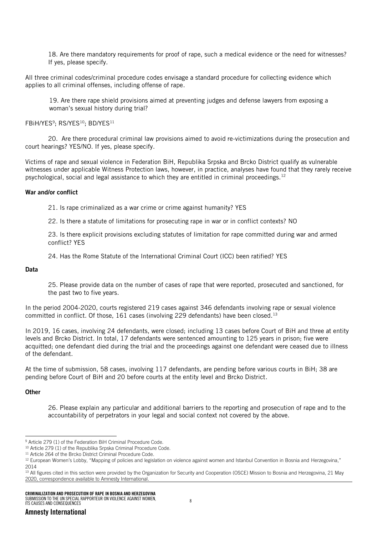18. Are there mandatory requirements for proof of rape, such a medical evidence or the need for witnesses? If yes, please specify.

All three criminal codes/criminal procedure codes envisage a standard procedure for collecting evidence which applies to all criminal offenses, including offense of rape.

19. Are there rape shield provisions aimed at preventing judges and defense lawyers from exposing a woman's sexual history during trial?

FBiH/YES<sup>9</sup> ; RS/YES<sup>10</sup>; BD/YES<sup>11</sup>

20. Are there procedural criminal law provisions aimed to avoid re-victimizations during the prosecution and court hearings? YES/NO. If yes, please specify.

Victims of rape and sexual violence in Federation BiH, Republika Srpska and Brcko District qualify as vulnerable witnesses under applicable Witness Protection laws, however, in practice, analyses have found that they rarely receive psychological, social and legal assistance to which they are entitled in criminal proceedings.<sup>12</sup>

#### War and/or conflict

21. Is rape criminalized as a war crime or crime against humanity? YES

22. Is there a statute of limitations for prosecuting rape in war or in conflict contexts? NO

23. Is there explicit provisions excluding statutes of limitation for rape committed during war and armed conflict? YES

24. Has the Rome Statute of the International Criminal Court (ICC) been ratified? YES

#### Data

25. Please provide data on the number of cases of rape that were reported, prosecuted and sanctioned, for the past two to five years.

In the period 2004-2020, courts registered 219 cases against 346 defendants involving rape or sexual violence committed in conflict. Of those, 161 cases (involving 229 defendants) have been closed.<sup>13</sup>

In 2019, 16 cases, involving 24 defendants, were closed; including 13 cases before Court of BiH and three at entity levels and Brcko District. In total, 17 defendants were sentenced amounting to 125 years in prison; five were acquitted; one defendant died during the trial and the proceedings against one defendant were ceased due to illness of the defendant.

At the time of submission, 58 cases, involving 117 defendants, are pending before various courts in BiH; 38 are pending before Court of BiH and 20 before courts at the entity level and Brcko District.

#### **Other**

26. Please explain any particular and additional barriers to the reporting and prosecution of rape and to the accountability of perpetrators in your legal and social context not covered by the above.

<sup>-</sup><sup>9</sup> Article 279 (1) of the Federation BiH Criminal Procedure Code.

<sup>&</sup>lt;sup>10</sup> Article 279 (1) of the Republika Srpska Criminal Procedure Code.

<sup>&</sup>lt;sup>11</sup> Article 264 of the Brcko District Criminal Procedure Code.

<sup>12</sup> European Women's Lobby, "Mapping of policies and legislation on violence against women and Istanbul Convention in Bosnia and Herzegovina," 2014

<sup>&</sup>lt;sup>13</sup> All figures cited in this section were provided by the Organization for Security and Cooperation (OSCE) Mission to Bosnia and Herzegovina, 21 May 2020, correspondence available to Amnesty International.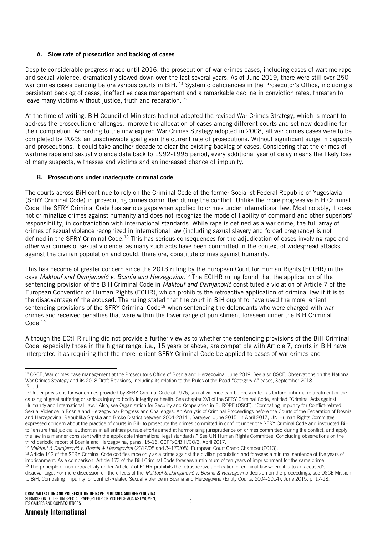# A. Slow rate of prosecution and backlog of cases

Despite considerable progress made until 2016, the prosecution of war crimes cases, including cases of wartime rape and sexual violence, dramatically slowed down over the last several years. As of June 2019, there were still over 250 war crimes cases pending before various courts in BiH.<sup>14</sup> Systemic deficiencies in the Prosecutor's Office, including a persistent backlog of cases, ineffective case management and a remarkable decline in conviction rates, threaten to leave many victims without justice, truth and reparation.<sup>15</sup>

At the time of writing, BiH Council of Ministers had not adopted the revised War Crimes Strategy, which is meant to address the prosecution challenges, improve the allocation of cases among different courts and set new deadline for their completion. According to the now expired War Crimes Strategy adopted in 2008, all war crimes cases were to be completed by 2023; an unachievable goal given the current rate of prosecutions. Without significant surge in capacity and prosecutions, it could take another decade to clear the existing backlog of cases. Considering that the crimes of wartime rape and sexual violence date back to 1992-1995 period, every additional year of delay means the likely loss of many suspects, witnesses and victims and an increased chance of impunity.

# B. Prosecutions under inadequate criminal code

The courts across BiH continue to rely on the Criminal Code of the former Socialist Federal Republic of Yugoslavia (SFRY Criminal Code) in prosecuting crimes committed during the conflict. Unlike the more progressive BiH Criminal Code, the SFRY Criminal Code has serious gaps when applied to crimes under international law. Most notably, it does not criminalize crimes against humanity and does not recognize the mode of liability of command and other superiors' responsibility, in contradiction with international standards. While rape is defined as a war crime, the full array of crimes of sexual violence recognized in international law (including sexual slavery and forced pregnancy) is not defined in the SFRY Criminal Code.<sup>16</sup> This has serious consequences for the adjudication of cases involving rape and other war crimes of sexual violence, as many such acts have been committed in the context of widespread attacks against the civilian population and could, therefore, constitute crimes against humanity.

This has become of greater concern since the 2013 ruling by the European Court for Human Rights (ECtHR) in the case *Maktouf and Damjanović v. Bosnia and Herzegovina.<sup>17</sup>* The ECtHR ruling found that the application of the sentencing provision of the BiH Criminal Code in *Maktouf and Damjanović* constituted a violation of Article 7 of the European Convention of Human Rights (ECHR), which prohibits the retroactive application of criminal law if it is to the disadvantage of the accused. The ruling stated that the court in BiH ought to have used the more lenient sentencing provisions of the SFRY Criminal Code<sup>18</sup> when sentencing the defendants who were charged with war crimes and received penalties that were within the lower range of punishment foreseen under the BiH Criminal Code.<sup>19</sup>

Although the ECtHR ruling did not provide a further view as to whether the sentencing provisions of the BiH Criminal Code, especially those in the higher range, i.e., 15 years or above, are compatible with Article 7, courts in BiH have interpreted it as requiring that the more lenient SFRY Criminal Code be applied to cases of war crimes and

<sup>17</sup> *Maktouf & Damjanović v. Bosnia & Herzegovina* (2312/08 and 34179/08), European Court Grand Chamber (2013).

<sup>18</sup> Article 142 of the SFRY Criminal Code codifies rape only as a crime against the civilian population and foresees a minimal sentence of five years of imprisonment. As a comparison, Article 173 of the BiH Criminal Code foresees a minimum of ten years of imprisonment for the same crime. <sup>19</sup> The principle of non-retroactivity under Article 7 of ECHR prohibits the retrospective application of criminal law where it is to an accused's disadvantage. For more discussion on the effects of the *Maktouf & Damjanović v. Bosnia & Herzegovina* decision on the proceedings, see OSCE Mission to BiH. Combating Impunity for Conflict-Related Sexual Violence in Bosnia and Herzegovina (Entity Courts, 2004-2014), June 2015, p. 17-18.

<sup>-</sup>14 OSCE, War crimes case management at the Prosecutor's Office of Bosnia and Herzegovina, June 2019. See also OSCE, Observations on the National War Crimes Strategy and its 2018 Draft Revisions, including its relation to the Rules of the Road "Category A" cases, September 2018.  $15$  Ibid.

<sup>16</sup> Under provisions for war crimes provided by SFRY Criminal Code of 1976, sexual violence can be prosecuted as torture, inhumane treatment or the causing of great suffering or serious injury to bodily integrity or health. See chapter XVI of the SFRY Criminal Code, entitled "Criminal Acts against Humanity and International Law." Also, see Organization for Security and Cooperation in EUROPE (OSCE), "Combating Impunity for Conflict-related Sexual Violence in Bosnia and Herzegovina: Progress and Challenges, An Analysis of Criminal Proceedings before the Courts of the Federation of Bosnia and Herzegovina, Republika Srpska and Brčko District between 2004-2014"*,* Sarajevo, June 2015. In April 2017, UN Human Rights Committee expressed concern about the practice of courts in BiH to prosecute the crimes committed in conflict under the SFRY Criminal Code and instructed BiH to "ensure that judicial authorities in all entities pursue efforts aimed at harmonising jurisprudence on crimes committed during the conflict, and apply the law in a manner consistent with the applicable international legal standards." See UN Human Rights Committee, Concluding observations on the third periodic report of Bosnia and Herzegovina, paras. 15-16, CCPR/C/BIH/CO/3, April 2017.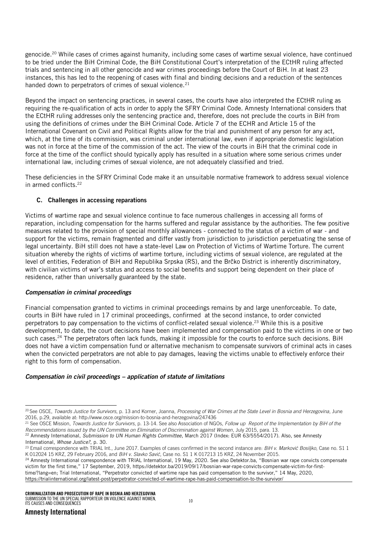genocide.<sup>20</sup> While cases of crimes against humanity, including some cases of wartime sexual violence, have continued to be tried under the BiH Criminal Code, the BiH Constitutional Court's interpretation of the ECtHR ruling affected trials and sentencing in all other genocide and war crimes proceedings before the Court of BiH. In at least 23 instances, this has led to the reopening of cases with final and binding decisions and a reduction of the sentences handed down to perpetrators of crimes of sexual violence.<sup>21</sup>

Beyond the impact on sentencing practices, in several cases, the courts have also interpreted the ECtHR ruling as requiring the re-qualification of acts in order to apply the SFRY Criminal Code. Amnesty International considers that the ECtHR ruling addresses only the sentencing practice and, therefore, does not preclude the courts in BiH from using the definitions of crimes under the BiH Criminal Code. Article 7 of the ECHR and Article 15 of the International Covenant on Civil and Political Rights allow for the trial and punishment of any person for any act, which, at the time of its commission, was criminal under international law, even if appropriate domestic legislation was not in force at the time of the commission of the act. The view of the courts in BiH that the criminal code in force at the time of the conflict should typically apply has resulted in a situation where some serious crimes under international law, including crimes of sexual violence, are not adequately classified and tried.

These deficiencies in the SFRY Criminal Code make it an unsuitable normative framework to address sexual violence in armed conflicts.<sup>22</sup>

# C. Challenges in accessing reparations

Victims of wartime rape and sexual violence continue to face numerous challenges in accessing all forms of reparation, including compensation for the harms suffered and regular assistance by the authorities. The few positive measures related to the provision of special monthly allowances - connected to the status of a victim of war - and support for the victims, remain fragmented and differ vastly from jurisdiction to jurisdiction perpetuating the sense of legal uncertainty. BiH still does not have a state-level Law on Protection of Victims of Wartime Torture. The current situation whereby the rights of victims of wartime torture, including victims of sexual violence, are regulated at the level of entities, Federation of BiH and Republika Srpska (RS), and the Brčko District is inherently discriminatory, with civilian victims of war's status and access to social benefits and support being dependent on their place of residence, rather than universally guaranteed by the state.

#### *Compensation in criminal proceedings*

Financial compensation granted to victims in criminal proceedings remains by and large unenforceable. To date, courts in BiH have ruled in 17 criminal proceedings, confirmed at the second instance, to order convicted perpetrators to pay compensation to the victims of conflict-related sexual violence.<sup>23</sup> While this is a positive development, to date, the court decisions have been implemented and compensation paid to the victims in one or two such cases.<sup>24</sup> The perpetrators often lack funds, making it impossible for the courts to enforce such decisions. BiH does not have a victim compensation fund or alternative mechanism to compensate survivors of criminal acts in cases when the convicted perpetrators are not able to pay damages, leaving the victims unable to effectively enforce their right to this form of compensation.

#### *Compensation in civil proceedings – application of statute of limitations*

j

<sup>20</sup> See OSCE, *Towards Justice for Survivors*, p. 13 and Korner, Joanna, *Processing of War Crimes at the State Level in Bosnia and Herzegovina*, June 2016, p.29, available at: http://www.osce.org/mission-to-bosnia-and-herzegovina/247436

<sup>21</sup> See OSCE Mission, *Towards Justice for Survivors*, p. 13-14. See also Association of NGOs, *Follow up Report of the Implementation by BiH of the Recommendations issued by the UN Committee on Elimination of Discrimination against Women*, July 2015, para. 13.

<sup>22</sup> Amnesty International, *Submission to UN Human Rights Committee*, March 2017 (Index: EUR 63/5554/2017). Also, see Amnesty International, *Whose Justice?*, p. 30.

<sup>23</sup> Email correspondence with TRIAL Int., June 2017. Examples of cases confirmed in the second instance are: *BiH v. Marković Bosiljko*, Case no. S1 1 K 012024 15 KRZ, 29 February 2016, and *BiH v. Slavko Savić*, Case no. S1 1 K 017213 15 KRZ, 24 November 2015.

<sup>&</sup>lt;sup>24</sup> Amnesty International correspondence with TRIAL International, 19 May, 2020. See also Detektor.ba, "Bosnian war rape convicts compensate victim for the first time," 17 September, 2019, [https://detektor.ba/2019/09/17/bosnian-war-rape-convicts-compensate-victim-for-first](https://detektor.ba/2019/09/17/bosnian-war-rape-convicts-compensate-victim-for-first-time/?lang=en)[time/?lang=en](https://detektor.ba/2019/09/17/bosnian-war-rape-convicts-compensate-victim-for-first-time/?lang=en); Trial International, "Perpetrator convicted of wartime rape has paid compensation to the survivor," 14 May, 2020, <https://trialinternational.org/latest-post/perpetrator-convicted-of-wartime-rape-has-paid-compensation-to-the-survivor/>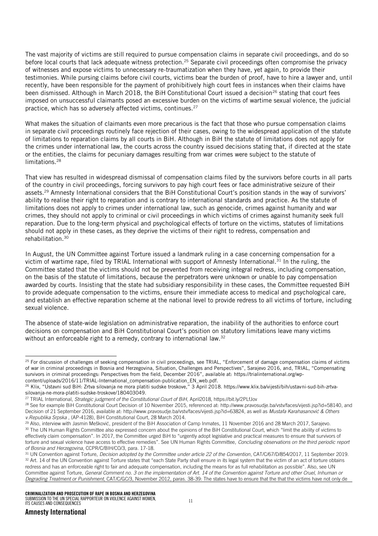The vast majority of victims are still required to pursue compensation claims in separate civil proceedings, and do so before local courts that lack adequate witness protection.<sup>25</sup> Separate civil proceedings often compromise the privacy of witnesses and expose victims to unnecessary re-traumatization when they have, yet again, to provide their testimonies. While pursing claims before civil courts, victims bear the burden of proof, have to hire a lawyer and, until recently, have been responsible for the payment of prohibitively high court fees in instances when their claims have been dismissed. Although in March 2018, the BiH Constitutional Court issued a decision<sup>26</sup> stating that court fees imposed on unsuccessful claimants posed an excessive burden on the victims of wartime sexual violence, the judicial practice, which has so adversely affected victims, continues.<sup>27</sup>

What makes the situation of claimants even more precarious is the fact that those who pursue compensation claims in separate civil proceedings routinely face rejection of their cases, owing to the widespread application of the statute of limitations to reparation claims by all courts in BiH. Although in BiH the statute of limitations does not apply for the crimes under international law, the courts across the country issued decisions stating that, if directed at the state or the entities, the claims for pecuniary damages resulting from war crimes were subject to the statute of limitations.<sup>28</sup>

That view has resulted in widespread dismissal of compensation claims filed by the survivors before courts in all parts of the country in civil proceedings, forcing survivors to pay high court fees or face administrative seizure of their assets.<sup>29</sup> Amnesty International considers that the BiH Constitutional Court's position stands in the way of survivors' ability to realise their right to reparation and is contrary to international standards and practice. As the statute of limitations does not apply to crimes under international law, such as genocide, crimes against humanity and war crimes, they should not apply to criminal or civil proceedings in which victims of crimes against humanity seek full reparation. Due to the long-term physical and psychological effects of torture on the victims, statutes of limitations should not apply in these cases, as they deprive the victims of their right to redress, compensation and rehabilitation. 30

In August, the UN Committee against Torture issued a landmark ruling in a case concerning compensation for a victim of wartime rape, filed by TRIAL International with support of Amnesty International.<sup>31</sup> In the ruling, the Committee stated that the victims should not be prevented from receiving integral redress, including compensation, on the basis of the statute of limitations, because the perpetrators were unknown or unable to pay compensation awarded by courts. Insisting that the state had subsidiary responsibility in these cases, the Committee requested BiH to provide adequate compensation to the victims, ensure their immediate access to medical and psychological care, and establish an effective reparation scheme at the national level to provide redress to all victims of torture, including sexual violence.

The absence of state-wide legislation on administrative reparation, the inability of the authorities to enforce court decisions on compensation and BiH Constitutional Court's position on statutory limitations leave many victims without an enforceable right to a remedy, contrary to international law.<sup>32</sup>

-

<sup>&</sup>lt;sup>25</sup> For discussion of challenges of seeking compensation in civil proceedings, see TRIAL, "Enforcement of damage compensation claims of victims of war in criminal proceedings in Bosnia and Herzegovina, Situation, Challenges and Perspectives", Sarajevo 2016, and, TRIAL, "Compensating survivors in criminal proceedings: Perspectives from the field, December 2016", available at: [https://trialinternational.org/wp](https://trialinternational.org/wp-content/uploads/2016/11/TRIAL-International_compensation-publication_EN_web.pdf)[content/uploads/2016/11/TRIAL-International\\_compensation-publication\\_EN\\_web.pdf.](https://trialinternational.org/wp-content/uploads/2016/11/TRIAL-International_compensation-publication_EN_web.pdf)

<sup>&</sup>lt;sup>26</sup> Klix, "Ustavni sud BiH: Zrtva silovanja ne mora platiti sudske troskove," 3 April 2018. https://www.klix.ba/vijesti/bih/ustavni-sud-bih-zrtvasilovanja-ne-mora-platiti-sudske-troskove/180403049.

<sup>27</sup> TRIAL International, *Strategic judgment of the Constitutional Court of BiH*, April2018, https://bit.ly/2PLfJov

<sup>&</sup>lt;sup>28</sup> See for example BiH Constitutional Court Decision of 10 November 2015, referenced at: [http://www.pravosudje.ba/vstv/faces/vijesti.jsp?id=58140,](http://www.pravosudje.ba/vstv/faces/vijesti.jsp?id=58140) and Decision of 21 September 2016, available at: [http://www.pravosudje.ba/vstv/faces/vijesti.jsp?id=63824,](http://www.pravosudje.ba/vstv/faces/vijesti.jsp?id=63824) as well as *Mustafa Karahasanović & Others v.Republika Srpska* , (AP-4128), BiH Constitutional Court, 28 March 2014.

<sup>&</sup>lt;sup>29</sup> Also, interview with Jasmin Mešković, president of the BiH Association of Camp Inmates, 11 November 2016 and 28 March 2017, Sarajevo. 30 The UN Human Rights Committee also expressed concern about the opinions of the BiH Constitutional Court, which "limit the ability of victims to effectively claim compensation". In 2017, the Committee urged BiH to "urgently adopt legislative and practical measures to ensure that survivors of torture and sexual violence have access to effective remedies". See UN Human Rights Committee, *Concluding observations on the third periodic report of Bosnia and Herzegovina*, CCPR/C/BIH/CO/3, para. 17-18.

<sup>&</sup>lt;sup>31</sup> UN Convention against Torture, *Decision adopted by the Committee under article 22 of the Convention*, CAT/C/67/D/854/2017, 11 September 2019. 32 Art. 14 of the UN Convention against Torture states that "each State Party shall ensure in its legal system that the victim of an act of torture obtains redress and has an enforceable right to fair and adequate compensation, including the means for as full rehabilitation as possible". Also, see UN Committee against Torture, *General Comment no. 3 on the implementation of Art. 14 of the Convention against Torture and other Cruel, Inhuman or Degrading Treatment or Punishment*, CAT/C/GC/3, November 2012, paras. 38-39: The states have to ensure that the that the victims have not only de